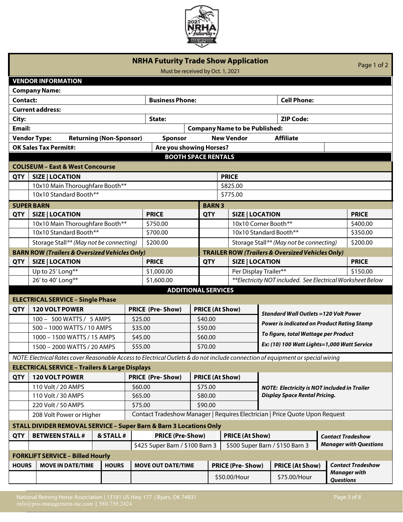

| <b>NRHA Futurity Trade Show Application</b><br>Page 1 of 2<br>Must be received by Oct. 1, 2021 |                                                                                                                                 |                                |                                          |                                                   |              |                                                                                                        |                                                                                      |                                                                             |                                               |                                                 |                      |              |
|------------------------------------------------------------------------------------------------|---------------------------------------------------------------------------------------------------------------------------------|--------------------------------|------------------------------------------|---------------------------------------------------|--------------|--------------------------------------------------------------------------------------------------------|--------------------------------------------------------------------------------------|-----------------------------------------------------------------------------|-----------------------------------------------|-------------------------------------------------|----------------------|--------------|
|                                                                                                | <b>VENDOR INFORMATION</b>                                                                                                       |                                |                                          |                                                   |              |                                                                                                        |                                                                                      |                                                                             |                                               |                                                 |                      |              |
|                                                                                                | <b>Company Name:</b>                                                                                                            |                                |                                          |                                                   |              |                                                                                                        |                                                                                      |                                                                             |                                               |                                                 |                      |              |
| Contact:                                                                                       |                                                                                                                                 |                                |                                          | <b>Business Phone:</b>                            |              |                                                                                                        |                                                                                      |                                                                             | <b>Cell Phone:</b>                            |                                                 |                      |              |
|                                                                                                | <b>Current address:</b>                                                                                                         |                                |                                          |                                                   |              |                                                                                                        |                                                                                      |                                                                             |                                               |                                                 |                      |              |
| City:                                                                                          |                                                                                                                                 |                                |                                          | State:                                            |              |                                                                                                        |                                                                                      |                                                                             | <b>ZIP Code:</b>                              |                                                 |                      |              |
| <b>Email:</b>                                                                                  |                                                                                                                                 |                                |                                          |                                                   |              |                                                                                                        | <b>Company Name to be Published:</b>                                                 |                                                                             |                                               |                                                 |                      |              |
|                                                                                                | <b>Vendor Type:</b>                                                                                                             | <b>Returning (Non-Sponsor)</b> |                                          | Sponsor                                           |              |                                                                                                        | <b>New Vendor</b>                                                                    |                                                                             | <b>Affiliate</b>                              |                                                 |                      |              |
|                                                                                                | <b>OK Sales Tax Permit#:</b>                                                                                                    |                                |                                          | Are you showing Horses?                           |              |                                                                                                        |                                                                                      |                                                                             |                                               |                                                 |                      |              |
|                                                                                                |                                                                                                                                 |                                |                                          | <b>BOOTH SPACE RENTALS</b>                        |              |                                                                                                        |                                                                                      |                                                                             |                                               |                                                 |                      |              |
|                                                                                                | <b>COLISEUM - East &amp; West Concourse</b>                                                                                     |                                |                                          |                                                   |              |                                                                                                        |                                                                                      |                                                                             |                                               |                                                 |                      |              |
| <b>QTY</b>                                                                                     | <b>SIZE   LOCATION</b>                                                                                                          |                                |                                          |                                                   |              |                                                                                                        | <b>PRICE</b>                                                                         |                                                                             |                                               |                                                 |                      |              |
|                                                                                                | 10x10 Main Thoroughfare Booth**                                                                                                 |                                |                                          |                                                   |              |                                                                                                        | \$825.00                                                                             |                                                                             |                                               |                                                 |                      |              |
|                                                                                                | 10x10 Standard Booth**                                                                                                          |                                |                                          |                                                   |              |                                                                                                        | \$775.00                                                                             |                                                                             |                                               |                                                 |                      |              |
|                                                                                                | <b>SUPER BARN</b>                                                                                                               |                                |                                          |                                                   | <b>BARN3</b> |                                                                                                        |                                                                                      |                                                                             |                                               |                                                 |                      |              |
| <b>QTY</b>                                                                                     | <b>SIZE   LOCATION</b>                                                                                                          |                                |                                          | <b>PRICE</b><br><b>QTY</b>                        |              |                                                                                                        | <b>SIZE   LOCATION</b>                                                               |                                                                             |                                               |                                                 |                      | <b>PRICE</b> |
|                                                                                                |                                                                                                                                 |                                |                                          | \$750.00                                          |              |                                                                                                        |                                                                                      |                                                                             |                                               |                                                 |                      |              |
|                                                                                                | 10x10 Main Thoroughfare Booth**                                                                                                 |                                |                                          | \$700.00                                          |              |                                                                                                        |                                                                                      | 10x10 Corner Booth**<br>10x10 Standard Booth**                              |                                               |                                                 | \$400.00<br>\$350.00 |              |
|                                                                                                | 10x10 Standard Booth**                                                                                                          |                                |                                          | \$200.00                                          |              |                                                                                                        |                                                                                      |                                                                             |                                               |                                                 | \$200.00             |              |
| Storage Stall** (May not be connecting)                                                        |                                                                                                                                 |                                |                                          |                                                   |              | Storage Stall** (May not be connecting)<br><b>TRAILER ROW (Trailers &amp; Oversized Vehicles Only)</b> |                                                                                      |                                                                             |                                               |                                                 |                      |              |
|                                                                                                | <b>BARN ROW (Trailers &amp; Oversized Vehicles Only)</b>                                                                        |                                |                                          |                                                   |              |                                                                                                        |                                                                                      |                                                                             |                                               |                                                 |                      |              |
| <b>QTY</b>                                                                                     | <b>SIZE   LOCATION</b>                                                                                                          |                                |                                          | <b>PRICE</b><br><b>QTY</b>                        |              |                                                                                                        | <b>SIZE   LOCATION</b>                                                               |                                                                             |                                               |                                                 | <b>PRICE</b>         |              |
|                                                                                                | Up to 25' Long**                                                                                                                |                                |                                          | \$1,000.00                                        |              |                                                                                                        | Per Display Trailer**<br>** Electricity NOT included. See Electrical Worksheet Below |                                                                             | \$150.00                                      |                                                 |                      |              |
| 26' to 40' Long**                                                                              |                                                                                                                                 |                                | \$1,600.00<br><b>ADDITIONAL SERVICES</b> |                                                   |              |                                                                                                        |                                                                                      |                                                                             |                                               |                                                 |                      |              |
|                                                                                                |                                                                                                                                 |                                |                                          |                                                   |              |                                                                                                        |                                                                                      |                                                                             |                                               |                                                 |                      |              |
|                                                                                                | <b>ELECTRICAL SERVICE - Single Phase</b>                                                                                        |                                |                                          |                                                   |              |                                                                                                        |                                                                                      |                                                                             |                                               |                                                 |                      |              |
| <b>QTY</b>                                                                                     | 120 VOLT POWER                                                                                                                  |                                |                                          | <b>PRICE (Pre-Show)</b>                           |              | <b>PRICE (At Show)</b>                                                                                 |                                                                                      |                                                                             | <b>Standard Wall Outlets = 120 Volt Power</b> |                                                 |                      |              |
|                                                                                                | 100 - 500 WATTS / 5 AMPS                                                                                                        |                                |                                          | \$25.00                                           |              | \$40.00                                                                                                |                                                                                      | <b>Power is indicated on Product Rating Stamp</b>                           |                                               |                                                 |                      |              |
|                                                                                                | 500 - 1000 WATTS / 10 AMPS                                                                                                      |                                |                                          | \$35.00                                           |              | \$50.00                                                                                                |                                                                                      | To figure, total Wattage per Product                                        |                                               |                                                 |                      |              |
|                                                                                                | 1000 - 1500 WATTS / 15 AMPS                                                                                                     |                                |                                          | \$45.00                                           |              | \$60.00                                                                                                |                                                                                      |                                                                             |                                               |                                                 |                      |              |
|                                                                                                | 1500 - 2000 WATTS / 20 AMPS                                                                                                     |                                |                                          | \$55.00<br>\$70.00                                |              |                                                                                                        | Ex: (10) 100 Watt Lights=1,000 Watt Service                                          |                                                                             |                                               |                                                 |                      |              |
|                                                                                                | NOTE: Electrical Rates cover Reasonable Access to Electrical Outlets & do not include connection of equipment or special wiring |                                |                                          |                                                   |              |                                                                                                        |                                                                                      |                                                                             |                                               |                                                 |                      |              |
| <b>ELECTRICAL SERVICE - Trailers &amp; Large Displays</b>                                      |                                                                                                                                 |                                |                                          |                                                   |              |                                                                                                        |                                                                                      |                                                                             |                                               |                                                 |                      |              |
| <b>QTY</b>                                                                                     | 120 VOLT POWER                                                                                                                  |                                |                                          | <b>PRICE (Pre-Show)</b><br><b>PRICE (At Show)</b> |              |                                                                                                        |                                                                                      |                                                                             |                                               |                                                 |                      |              |
|                                                                                                | 110 Volt / 20 AMPS                                                                                                              |                                |                                          | \$60.00                                           |              | \$75.00                                                                                                |                                                                                      | <b>NOTE: Electricity is NOT included in Trailer</b>                         |                                               |                                                 |                      |              |
|                                                                                                | 110 Volt / 30 AMPS                                                                                                              |                                |                                          | \$65.00                                           |              | \$80.00                                                                                                |                                                                                      |                                                                             | <b>Display Space Rental Pricing.</b>          |                                                 |                      |              |
|                                                                                                | 220 Volt / 50 AMPS                                                                                                              |                                |                                          | \$75.00                                           |              | \$90.00                                                                                                |                                                                                      |                                                                             |                                               |                                                 |                      |              |
|                                                                                                | 208 Volt Power or Higher                                                                                                        |                                |                                          |                                                   |              |                                                                                                        |                                                                                      | Contact Tradeshow Manager   Requires Electrician   Price Quote Upon Request |                                               |                                                 |                      |              |
| <b>STALL DIVIDER REMOVAL SERVICE - Super Barn &amp; Barn 3 Locations Only</b>                  |                                                                                                                                 |                                |                                          |                                                   |              |                                                                                                        |                                                                                      |                                                                             |                                               |                                                 |                      |              |
| & STALL#<br><b>QTY</b>                                                                         |                                                                                                                                 |                                | <b>PRICE (Pre-Show)</b>                  |                                                   |              | <b>PRICE (At Show)</b>                                                                                 |                                                                                      |                                                                             |                                               |                                                 |                      |              |
|                                                                                                | <b>BETWEEN STALL#</b>                                                                                                           |                                |                                          |                                                   |              |                                                                                                        | <b>Contact Tradeshow</b><br><b>Manager with Questions</b>                            |                                                                             |                                               |                                                 |                      |              |
|                                                                                                | \$425 Super Barn / \$100 Barn 3<br>\$500 Super Barn / \$150 Barn 3<br><b>FORKLIFT SERVICE - Billed Hourly</b>                   |                                |                                          |                                                   |              |                                                                                                        |                                                                                      |                                                                             |                                               |                                                 |                      |              |
|                                                                                                |                                                                                                                                 |                                |                                          |                                                   |              |                                                                                                        |                                                                                      |                                                                             |                                               |                                                 |                      |              |
| <b>HOURS</b>                                                                                   | <b>MOVE IN DATE/TIME</b>                                                                                                        | <b>HOURS</b>                   |                                          | <b>MOVE OUT DATE/TIME</b>                         |              |                                                                                                        | <b>PRICE (Pre-Show)</b>                                                              |                                                                             | <b>PRICE (At Show)</b>                        | <b>Contact Tradeshow</b><br><b>Manager with</b> |                      |              |
|                                                                                                |                                                                                                                                 |                                |                                          |                                                   |              |                                                                                                        | \$50.00/Hour                                                                         |                                                                             | \$75.00/Hour                                  |                                                 | <b>Questions</b>     |              |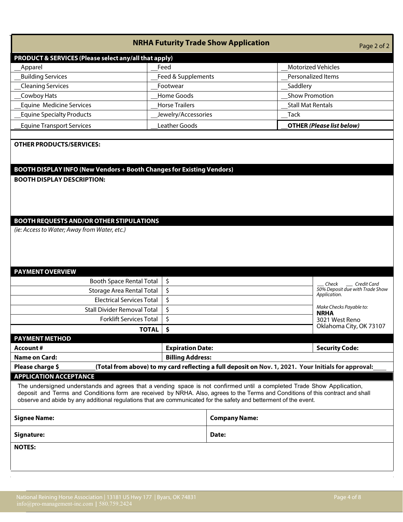|  | Page 2 of |  |
|--|-----------|--|

|                                                                                                 | <b>NRHA Futurity Trade Show Application</b>                           |                          |                                  | Page 2 of 2 |
|-------------------------------------------------------------------------------------------------|-----------------------------------------------------------------------|--------------------------|----------------------------------|-------------|
| PRODUCT & SERVICES (Please select any/all that apply)                                           |                                                                       |                          |                                  |             |
| <b>Apparel</b>                                                                                  | Feed                                                                  |                          | <b>Motorized Vehicles</b>        |             |
| <b>Building Services</b>                                                                        | Feed & Supplements                                                    |                          | Personalized Items               |             |
| <b>Cleaning Services</b>                                                                        | Footwear                                                              | Saddlery                 |                                  |             |
| Cowboy Hats                                                                                     | Home Goods                                                            | <b>Show Promotion</b>    |                                  |             |
| <b>Equine Medicine Services</b>                                                                 | <b>Horse Trailers</b>                                                 | <b>Stall Mat Rentals</b> |                                  |             |
| <b>Equine Specialty Products</b>                                                                | Jewelry/Accessories                                                   | Tack                     |                                  |             |
| <b>Equine Transport Services</b>                                                                | Leather Goods                                                         |                          | <b>OTHER (Please list below)</b> |             |
|                                                                                                 |                                                                       |                          |                                  |             |
| <b>BOOTH DISPLAY DESCRIPTION:</b>                                                               | BOOTH DISPLAY INFO (New Vendors + Booth Changes for Existing Vendors) |                          |                                  |             |
| <b>BOOTH REQUESTS AND/OR OTHER STIPULATIONS</b><br>(ie: Access to Water; Away from Water, etc.) |                                                                       |                          |                                  |             |
| <b>PAYMENT OVERVIEW</b>                                                                         |                                                                       |                          |                                  |             |
|                                                                                                 | $\zeta$<br><b>Booth Space Rental Total</b>                            |                          | Chack                            | Crodit Card |

| Booth Space Rental Total   \$                                                                                            |                         | Check Credit Card                                        |  |  |  |  |
|--------------------------------------------------------------------------------------------------------------------------|-------------------------|----------------------------------------------------------|--|--|--|--|
| Storage Area Rental Total                                                                                                |                         | 50% Deposit due with Trade Show<br>Application.          |  |  |  |  |
| <b>Electrical Services Total</b>                                                                                         |                         |                                                          |  |  |  |  |
| <b>Stall Divider Removal Total</b>                                                                                       |                         | Make Checks Payable to:<br><b>NRHA</b><br>3021 West Reno |  |  |  |  |
| <b>Forklift Services Total</b>                                                                                           |                         |                                                          |  |  |  |  |
| <b>TOTAL</b>                                                                                                             |                         | Oklahoma City, OK 73107                                  |  |  |  |  |
| <b>PAYMENT METHOD</b>                                                                                                    |                         |                                                          |  |  |  |  |
| Account#                                                                                                                 | <b>Expiration Date:</b> | <b>Security Code:</b>                                    |  |  |  |  |
| <b>Name on Card:</b>                                                                                                     | <b>Billing Address:</b> |                                                          |  |  |  |  |
| (Total from above) to my card reflecting a full deposit on Nov. 1, 2021. Your Initials for approval:<br>Please charge \$ |                         |                                                          |  |  |  |  |

# **APPLICATION ACCEPTANCE**

The undersigned understands and agrees that a vending space is not confirmed until a completed Trade Show Application, deposit and Terms and Conditions form are received by NRHA. Also, agrees to the Terms and Conditions of this contract and shall observe and abide by any additional regulations that are communicated for the safety and betterment of the event.

| <b>Signee Name:</b> | <b>Company Name:</b> |
|---------------------|----------------------|
| Signature:          | Date:                |
| <b>NOTES:</b>       |                      |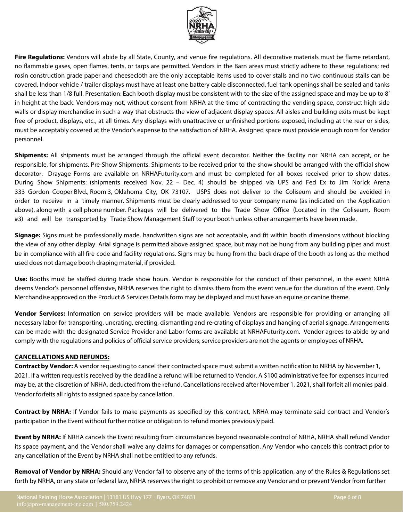**Fire Regulations:** Vendors will abide by all State, County, and venue fire regulations. All decorative materials must be flame retardant, no flammable gases, open flames, tents, or tarps are permitted. Vendors in the Barn areas must strictly adhere to these regulations; red rosin construction grade paper and cheesecloth are the only acceptable items used to cover stalls and no two continuous stalls can be covered. Indoor vehicle / trailer displays must have at least one battery cable disconnected, fuel tank openings shall be sealed and tanks shall be less than 1/8 full. Presentation: Each booth display must be consistent with to the size of the assigned space and may be up to 8' in height at the back. Vendors may not, without consent from NRHA at the time of contracting the vending space, construct high side walls or display merchandise in such a way that obstructs the view of adjacent display spaces. All aisles and building exits must be kept free of product, displays, etc., at all times. Any displays with unattractive or unfinished portions exposed, including at the rear or sides, must be acceptably covered at the Vendor's expense to the satisfaction of NRHA. Assigned space must provide enough room for Vendor personnel.

**Shipments:** All shipments must be arranged through the official event decorator. Neither the facility nor NRHA can accept, or be responsible, for shipments. Pre-Show Shipments: Shipments to be received prior to the show should be arranged with the official show decorator. Drayage Forms are available on NRHAFuturity.com and must be completed for all boxes received prior to show dates. During Show Shipments: (shipments received Nov. 22 – Dec. 4) should be shipped via UPS and Fed Ex to Jim Norick Arena 333 Gordon Cooper Blvd., Room 3, Oklahoma City, OK 73107. USPS does not deliver to the Coliseum and should be avoided in order to receive in a timely manner. Shipments must be clearly addressed to your company name (as indicated on the Application above), along with a cell phone number. Packages will be delivered to the Trade Show Office (Located in the Coliseum, Room #3) and will be transported by Trade Show Management Staff to your booth unless other arrangements have been made.

**Signage:** Signs must be professionally made, handwritten signs are not acceptable, and fit within booth dimensions without blocking the view of any other display. Arial signage is permitted above assigned space, but may not be hung from any building pipes and must be in compliance with all fire code and facility regulations. Signs may be hung from the back drape of the booth as long as the method used does not damage booth draping material, if provided.

**Use:** Booths must be staffed during trade show hours. Vendor is responsible for the conduct of their personnel, in the event NRHA deems Vendor's personnel offensive, NRHA reserves the right to dismiss them from the event venue for the duration of the event. Only Merchandise approved on the Product & Services Details form may be displayed and must have an equine or canine theme.

**Vendor Services:** Information on service providers will be made available. Vendors are responsible for providing or arranging all necessary labor for transporting, uncrating, erecting, dismantling and re-crating of displays and hanging of aerial signage. Arrangements can be made with the designated Service Provider and Labor forms are available at NRHAFuturity.com. Vendor agrees to abide by and comply with the regulations and policies of official service providers; service providers are not the agents or employees of NRHA.

# **CANCELLATIONSAND REFUNDS:**

**Contract by Vendor:** A vendor requesting to cancel their contracted space must submit a written notification to NRHA by November 1, 2021. If a written request is received by the deadline a refund will be returned to Vendor. A \$100 administrative fee for expenses incurred may be, at the discretion of NRHA, deducted from the refund. Cancellations received after November 1, 2021, shall forfeit all monies paid. Vendor forfeits all rights to assigned space by cancellation.

**Contract by NRHA:** If Vendor fails to make payments as specified by this contract, NRHA may terminate said contract and Vendor's participation in the Event without further notice or obligation to refund monies previously paid.

**Event by NRHA:** If NRHA cancels the Event resulting from circumstances beyond reasonable control of NRHA, NRHA shall refund Vendor its space payment, and the Vendor shall waive any claims for damages or compensation. Any Vendor who cancels this contract prior to any cancellation of the Event by NRHA shall not be entitled to any refunds.

**Removal of Vendor by NRHA:** Should any Vendor fail to observe any of the terms of this application, any of the Rules & Regulations set forth by NRHA, or any state or federal law, NRHA reserves the right to prohibit or remove any Vendor and or prevent Vendor from further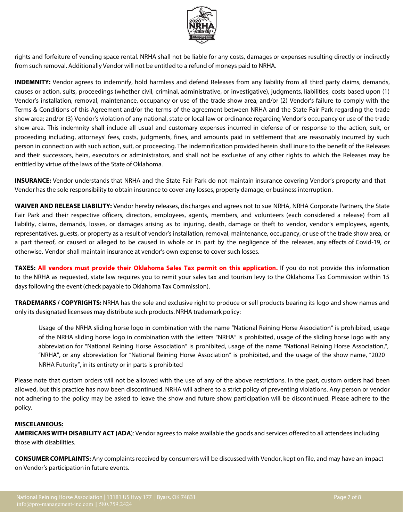

rights and forfeiture of vending space rental. NRHA shall not be liable for any costs, damages or expenses resulting directly or indirectly from such removal. Additionally Vendor will not be entitled to a refund of moneys paid to NRHA.

**INDEMNITY:** Vendor agrees to indemnify, hold harmless and defend Releases from any liability from all third party claims, demands, causes or action, suits, proceedings (whether civil, criminal, administrative, or investigative), judgments, liabilities, costs based upon (1) Vendor's installation, removal, maintenance, occupancy or use of the trade show area; and/or (2) Vendor's failure to comply with the Terms & Conditions of this Agreement and/or the terms of the agreement between NRHA and the State Fair Park regarding the trade show area; and/or (3) Vendor's violation of any national, state or local law or ordinance regarding Vendor's occupancy or use of the trade show area. This indemnity shall include all usual and customary expenses incurred in defense of or response to the action, suit, or proceeding including, attorneys' fees, costs, judgments, fines, and amounts paid in settlement that are reasonably incurred by such person in connection with such action, suit, or proceeding. The indemnification provided herein shall inure to the benefit of the Releases and their successors, heirs, executors or administrators, and shall not be exclusive of any other rights to which the Releases may be entitled by virtue of the laws of the State of Oklahoma.

**INSURANCE:** Vendor understands that NRHA and the State Fair Park do not maintain insurance covering Vendor's property and that Vendor has the sole responsibility to obtain insurance to cover any losses, property damage, or businessinterruption.

**WAIVER AND RELEASE LIABILITY:** Vendor hereby releases, discharges and agrees not to sue NRHA, NRHA Corporate Partners, the State Fair Park and their respective officers, directors, employees, agents, members, and volunteers (each considered a release) from all liability, claims, demands, losses, or damages arising as to injuring, death, damage or theft to vendor, vendor's employees, agents, representatives, guests, or property as a result of vendor's installation, removal, maintenance, occupancy, or use of the trade show area, or a part thereof, or caused or alleged to be caused in whole or in part by the negligence of the releases, any effects of Covid-19, or otherwise. Vendor shall maintain insurance at vendor's own expense to cover such losses.

**TAXES: All vendors must provide their Oklahoma Sales Tax permit on this application.** If you do not provide this information to the NRHA as requested, state law requires you to remit your sales tax and tourism levy to the Oklahoma Tax Commission within 15 days following the event (check payable to Oklahoma Tax Commission).

**TRADEMARKS / COPYRIGHTS:** NRHA has the sole and exclusive right to produce or sell products bearing its logo and show names and only its designated licensees may distribute such products. NRHA trademark policy:

Usage of the NRHA sliding horse logo in combination with the name "National Reining Horse Association" is prohibited, usage of the NRHA sliding horse logo in combination with the letters "NRHA" is prohibited, usage of the sliding horse logo with any abbreviation for "National Reining Horse Association" is prohibited, usage of the name "National Reining Horse Association,", "NRHA", or any abbreviation for "National Reining Horse Association" is prohibited, and the usage of the show name, "2020 NRHA Futurity", in its entirety or in parts is prohibited

Please note that custom orders will not be allowed with the use of any of the above restrictions. In the past, custom orders had been allowed, but this practice has now been discontinued. NRHA will adhere to a strict policy of preventing violations. Any person or vendor not adhering to the policy may be asked to leave the show and future show participation will be discontinued. Please adhere to the policy.

### **MISCELANEOUS:**

**AMERICANS WITH DISABILITY ACT (ADA**): Vendor agrees to make available the goods and services offered to all attendees including those with disabilities.

**CONSUMER COMPLAINTS:** Any complaints received by consumers will be discussed with Vendor, kept on file, and may have an impact on Vendor's participation in future events.